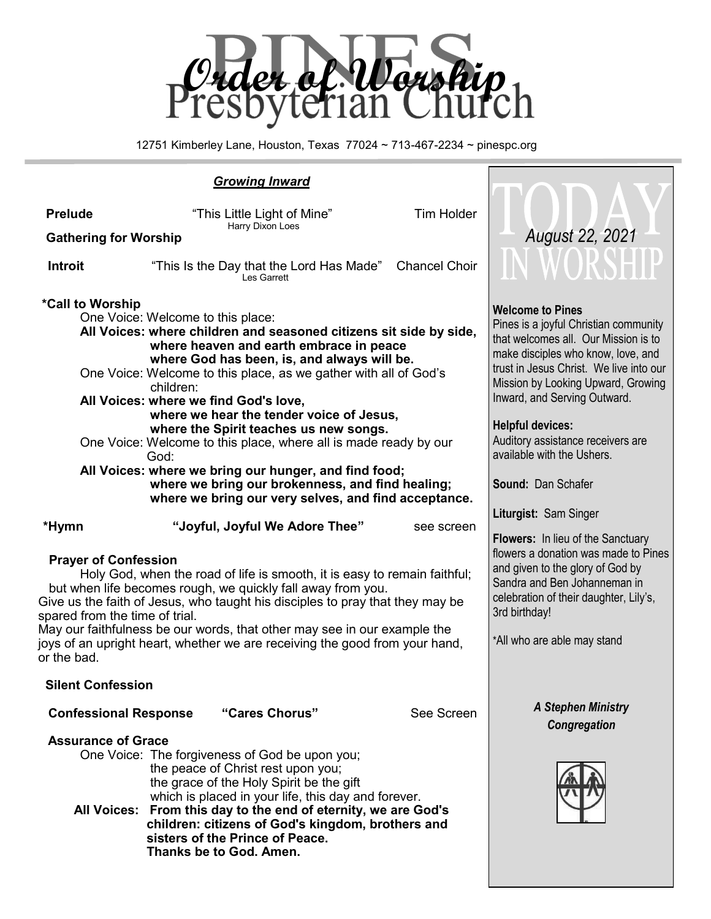

12751 Kimberley Lane, Houston, Texas 77024 ~ 713-467-2234 ~ pinespc.org

## *Growing Inward*

| <b>Prelude</b><br><b>Gathering for Worship</b>                                                                                                                                                                                                                                                                                                                                                                                                                       | "This Little Light of Mine"                                                                                                                                                                                                                                                                                                                                                         | August 22, 2021                                                                                                                                                                                                                                                                                                                                                              |                      |                                                                   |
|----------------------------------------------------------------------------------------------------------------------------------------------------------------------------------------------------------------------------------------------------------------------------------------------------------------------------------------------------------------------------------------------------------------------------------------------------------------------|-------------------------------------------------------------------------------------------------------------------------------------------------------------------------------------------------------------------------------------------------------------------------------------------------------------------------------------------------------------------------------------|------------------------------------------------------------------------------------------------------------------------------------------------------------------------------------------------------------------------------------------------------------------------------------------------------------------------------------------------------------------------------|----------------------|-------------------------------------------------------------------|
| <b>Introit</b>                                                                                                                                                                                                                                                                                                                                                                                                                                                       |                                                                                                                                                                                                                                                                                                                                                                                     | "This Is the Day that the Lord Has Made"<br>Les Garrett                                                                                                                                                                                                                                                                                                                      | <b>Chancel Choir</b> | IN WORSHIP                                                        |
| *Call to Worship<br>One Voice: Welcome to this place:<br>All Voices: where children and seasoned citizens sit side by side,<br>One Voice: Welcome to this place, as we gather with all of God's<br>All Voices: where we find God's love,<br>One Voice: Welcome to this place, where all is made ready by our<br>All Voices: where we bring our hunger, and find food;                                                                                                | <b>Welcome to Pines</b><br>Pines is a joyful Christian community<br>that welcomes all. Our Mission is to<br>make disciples who know, love, and<br>trust in Jesus Christ. We live into our<br>Mission by Looking Upward, Growing<br>Inward, and Serving Outward.<br><b>Helpful devices:</b><br>Auditory assistance receivers are<br>available with the Ushers.<br>Sound: Dan Schafer |                                                                                                                                                                                                                                                                                                                                                                              |                      |                                                                   |
|                                                                                                                                                                                                                                                                                                                                                                                                                                                                      |                                                                                                                                                                                                                                                                                                                                                                                     |                                                                                                                                                                                                                                                                                                                                                                              |                      |                                                                   |
| *Hymn                                                                                                                                                                                                                                                                                                                                                                                                                                                                |                                                                                                                                                                                                                                                                                                                                                                                     | "Joyful, Joyful We Adore Thee"                                                                                                                                                                                                                                                                                                                                               | see screen           | Liturgist: Sam Singer<br><b>Flowers:</b> In lieu of the Sanctuary |
| <b>Prayer of Confession</b><br>Holy God, when the road of life is smooth, it is easy to remain faithful;<br>but when life becomes rough, we quickly fall away from you.<br>Give us the faith of Jesus, who taught his disciples to pray that they may be<br>spared from the time of trial.<br>May our faithfulness be our words, that other may see in our example the<br>joys of an upright heart, whether we are receiving the good from your hand,<br>or the bad. | flowers a donation was made to Pines<br>and given to the glory of God by<br>Sandra and Ben Johanneman in<br>celebration of their daughter, Lily's,<br>3rd birthday!<br>*All who are able may stand                                                                                                                                                                                  |                                                                                                                                                                                                                                                                                                                                                                              |                      |                                                                   |
| <b>Silent Confession</b>                                                                                                                                                                                                                                                                                                                                                                                                                                             |                                                                                                                                                                                                                                                                                                                                                                                     |                                                                                                                                                                                                                                                                                                                                                                              |                      |                                                                   |
| <b>Confessional Response</b>                                                                                                                                                                                                                                                                                                                                                                                                                                         |                                                                                                                                                                                                                                                                                                                                                                                     | "Cares Chorus"                                                                                                                                                                                                                                                                                                                                                               | See Screen           | <b>A Stephen Ministry</b><br>Congregation                         |
| <b>Assurance of Grace</b>                                                                                                                                                                                                                                                                                                                                                                                                                                            |                                                                                                                                                                                                                                                                                                                                                                                     | One Voice: The forgiveness of God be upon you;<br>the peace of Christ rest upon you;<br>the grace of the Holy Spirit be the gift<br>which is placed in your life, this day and forever.<br>All Voices: From this day to the end of eternity, we are God's<br>children: citizens of God's kingdom, brothers and<br>sisters of the Prince of Peace.<br>Thanks be to God. Amen. |                      |                                                                   |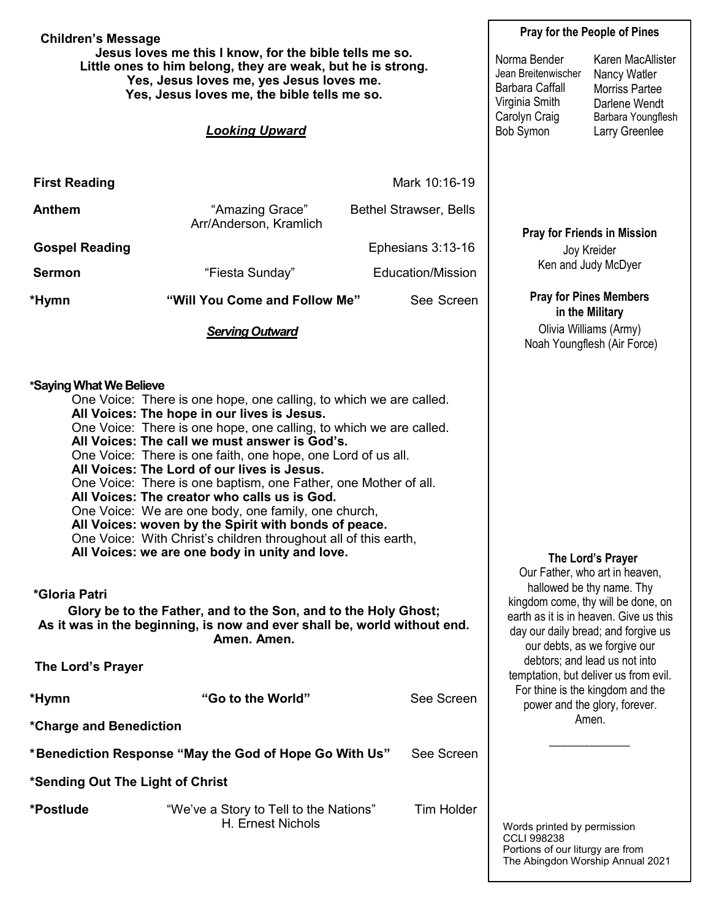**Children's Message Jesus loves me this I know, for the bible tells me so. Little ones to him belong, they are weak, but he is strong. Yes, Jesus loves me, yes Jesus loves me. Yes, Jesus loves me, the bible tells me so.** *Looking Upward* **First Reading Mark 10:16-19** Anthem **1988** "Amazing Grace" Bethel Strawser, Bells Arr/Anderson, Kramlich **Gospel Reading Ephesians 3:13-16 Sermon** The "Fiesta Sunday" Fiesta Sunday" Education/Mission **\*Hymn "Will You Come and Follow Me"** See Screen *Serving Outward* **\*Saying What We Believe** One Voice: There is one hope, one calling, to which we are called. **All Voices: The hope in our lives is Jesus.** One Voice: There is one hope, one calling, to which we are called. **All Voices: The call we must answer is God's.** One Voice: There is one faith, one hope, one Lord of us all. **All Voices: The Lord of our lives is Jesus.** One Voice: There is one baptism, one Father, one Mother of all. **All Voices: The creator who calls us is God.** One Voice: We are one body, one family, one church, **All Voices: woven by the Spirit with bonds of peace.** One Voice: With Christ's children throughout all of this earth, **All Voices: we are one body in unity and love. \*Gloria Patri Glory be to the Father, and to the Son, and to the Holy Ghost; As it was in the beginning, is now and ever shall be, world without end. Amen. Amen. The Lord's Prayer \*Hymn "Go to the World"** See Screen **\*Charge and Benediction \*Benediction Response "May the God of Hope Go With Us"** See Screen **\*Sending Out The Light of Christ \*Postlude** "We've a Story to Tell to the Nations" Tim Holder H. Ernest Nichols **Pray for the People of Pines Pray for Friends in Mission** Joy Kreider Ken and Judy McDyer **Pray for Pines Members in the Military** Olivia Williams (Army) Noah Youngflesh (Air Force) Words printed by permission CCLI 998238 Portions of our liturgy are from **The Lord's Prayer** Our Father, who art in heaven, hallowed be thy name. Thy kingdom come, thy will be done, on earth as it is in heaven. Give us this day our daily bread; and forgive us our debts, as we forgive our debtors; and lead us not into temptation, but deliver us from evil. For thine is the kingdom and the power and the glory, forever. Amen. \_\_\_\_\_\_\_\_\_\_\_\_\_\_ Norma Bender Jean Breitenwischer Barbara Caffall Virginia Smith Carolyn Craig Bob Symon Karen MacAllister Nancy Watler Morriss Partee Darlene Wendt Barbara Youngflesh Larry Greenlee

The Abingdon Worship Annual 2021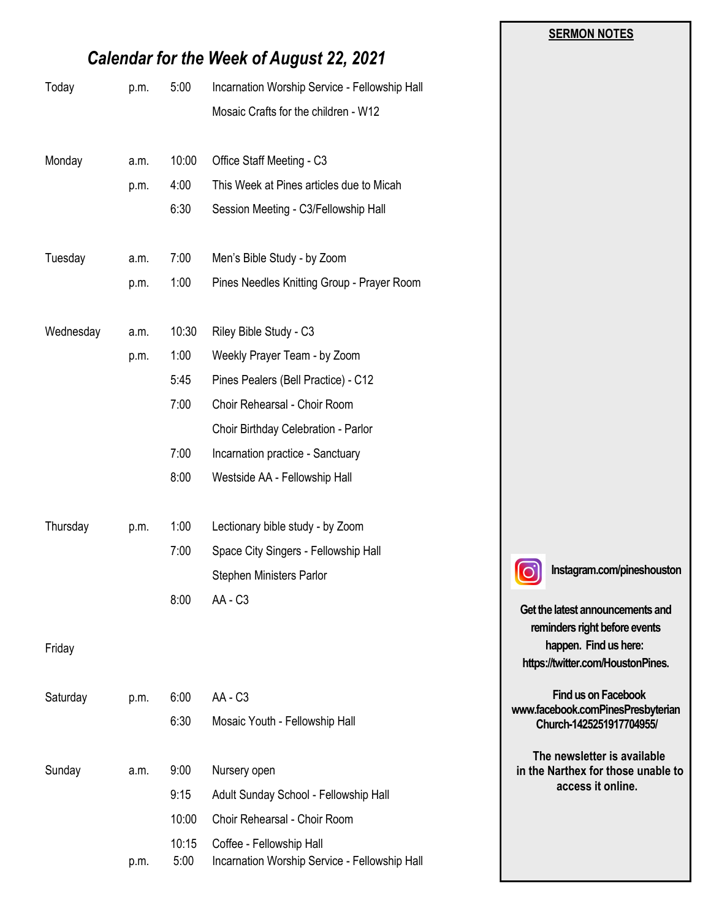|           |                                                 |               |                                                                           | <b>SERMON NOTES</b>                                               |
|-----------|-------------------------------------------------|---------------|---------------------------------------------------------------------------|-------------------------------------------------------------------|
|           | <b>Calendar for the Week of August 22, 2021</b> |               |                                                                           |                                                                   |
| Today     | p.m.                                            | 5:00          | Incarnation Worship Service - Fellowship Hall                             |                                                                   |
|           |                                                 |               | Mosaic Crafts for the children - W12                                      |                                                                   |
| Monday    | a.m.                                            | 10:00         | Office Staff Meeting - C3                                                 |                                                                   |
|           | p.m.                                            | 4:00          | This Week at Pines articles due to Micah                                  |                                                                   |
|           |                                                 | 6:30          | Session Meeting - C3/Fellowship Hall                                      |                                                                   |
| Tuesday   | a.m.                                            | 7:00          | Men's Bible Study - by Zoom                                               |                                                                   |
|           | p.m.                                            | 1:00          | Pines Needles Knitting Group - Prayer Room                                |                                                                   |
| Wednesday | a.m.                                            | 10:30         | Riley Bible Study - C3                                                    |                                                                   |
|           | p.m.                                            | 1:00          | Weekly Prayer Team - by Zoom                                              |                                                                   |
|           |                                                 | 5:45          | Pines Pealers (Bell Practice) - C12                                       |                                                                   |
|           |                                                 | 7:00          | Choir Rehearsal - Choir Room                                              |                                                                   |
|           |                                                 |               | Choir Birthday Celebration - Parlor                                       |                                                                   |
|           |                                                 | 7:00          | Incarnation practice - Sanctuary                                          |                                                                   |
|           |                                                 | 8:00          | Westside AA - Fellowship Hall                                             |                                                                   |
| Thursday  | p.m.                                            | 1:00          | Lectionary bible study - by Zoom                                          |                                                                   |
|           |                                                 | 7:00          | Space City Singers - Fellowship Hall                                      |                                                                   |
|           |                                                 |               | Stephen Ministers Parlor                                                  | Instagram.com/pineshouston                                        |
|           |                                                 | 8:00          | AA - C3                                                                   | Get the latest announcements and<br>reminders right before events |
| Friday    |                                                 |               |                                                                           | happen. Find us here:<br>https://twitter.com/HoustonPines.        |
| Saturday  | p.m.                                            | 6:00          | AA - C3                                                                   | Find us on Facebook                                               |
|           |                                                 | 6:30          | Mosaic Youth - Fellowship Hall                                            | www.facebook.comPinesPresbyterian<br>Church-1425251917704955/     |
| Sunday    | a.m.                                            | 9:00          | Nursery open                                                              | The newsletter is available<br>in the Narthex for those unable to |
|           |                                                 | 9:15          | Adult Sunday School - Fellowship Hall                                     | access it online.                                                 |
|           |                                                 | 10:00         | Choir Rehearsal - Choir Room                                              |                                                                   |
|           | p.m.                                            | 10:15<br>5:00 | Coffee - Fellowship Hall<br>Incarnation Worship Service - Fellowship Hall |                                                                   |